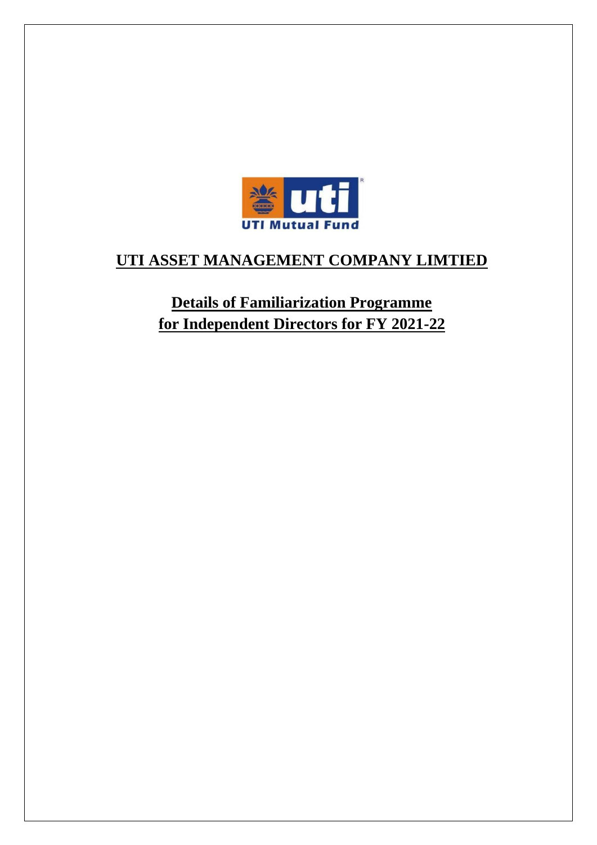

## **UTI ASSET MANAGEMENT COMPANY LIMTIED**

**Details of Familiarization Programme for Independent Directors for FY 2021-22**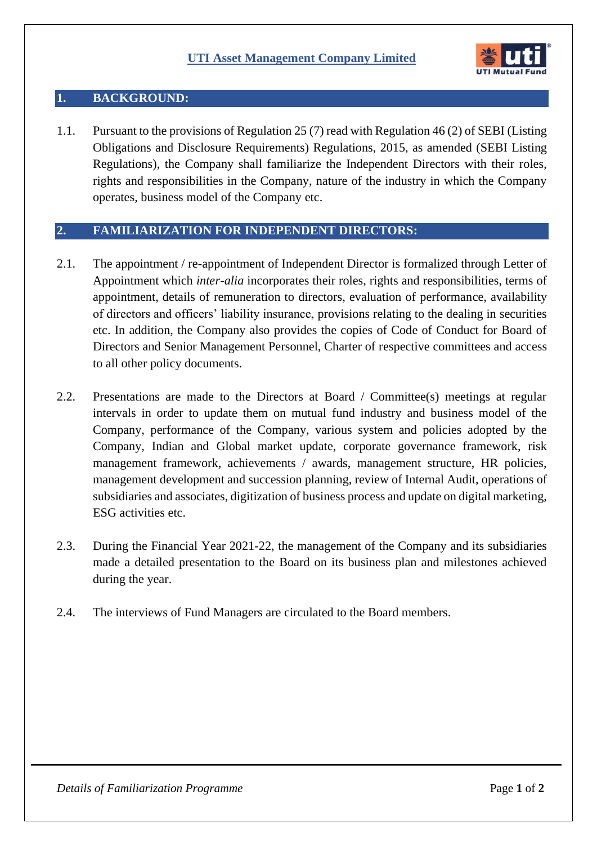

## **1. BACKGROUND:**

1.1. Pursuant to the provisions of Regulation 25 (7) read with Regulation 46 (2) of SEBI (Listing Obligations and Disclosure Requirements) Regulations, 2015, as amended (SEBI Listing Regulations), the Company shall familiarize the Independent Directors with their roles, rights and responsibilities in the Company, nature of the industry in which the Company operates, business model of the Company etc.

## **2. FAMILIARIZATION FOR INDEPENDENT DIRECTORS:**

- 2.1. The appointment / re-appointment of Independent Director is formalized through Letter of Appointment which *inter-alia* incorporates their roles, rights and responsibilities, terms of appointment, details of remuneration to directors, evaluation of performance, availability of directors and officers' liability insurance, provisions relating to the dealing in securities etc. In addition, the Company also provides the copies of Code of Conduct for Board of Directors and Senior Management Personnel, Charter of respective committees and access to all other policy documents.
- 2.2. Presentations are made to the Directors at Board / Committee(s) meetings at regular intervals in order to update them on mutual fund industry and business model of the Company, performance of the Company, various system and policies adopted by the Company, Indian and Global market update, corporate governance framework, risk management framework, achievements / awards, management structure, HR policies, management development and succession planning, review of Internal Audit, operations of subsidiaries and associates, digitization of business process and update on digital marketing, ESG activities etc.
- 2.3. During the Financial Year 2021-22, the management of the Company and its subsidiaries made a detailed presentation to the Board on its business plan and milestones achieved during the year.
- 2.4. The interviews of Fund Managers are circulated to the Board members.